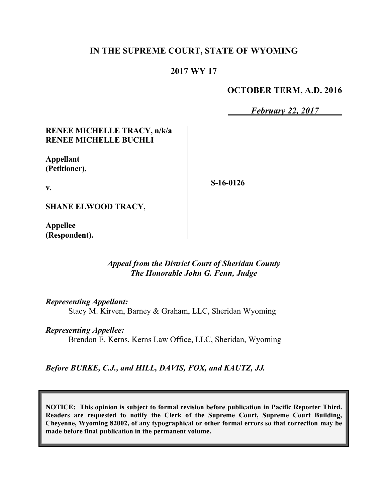# **IN THE SUPREME COURT, STATE OF WYOMING**

# **2017 WY 17**

### **OCTOBER TERM, A.D. 2016**

*February 22, 2017*

### **RENEE MICHELLE TRACY, n/k/a RENEE MICHELLE BUCHLI**

**Appellant (Petitioner),**

**S-16-0126**

**v.**

**SHANE ELWOOD TRACY,**

**Appellee (Respondent).**

# *Appeal from the District Court of Sheridan County The Honorable John G. Fenn, Judge*

*Representing Appellant:*

Stacy M. Kirven, Barney & Graham, LLC, Sheridan Wyoming

*Representing Appellee:*

Brendon E. Kerns, Kerns Law Office, LLC, Sheridan, Wyoming

*Before BURKE, C.J., and HILL, DAVIS, FOX, and KAUTZ, JJ.*

**NOTICE: This opinion is subject to formal revision before publication in Pacific Reporter Third. Readers are requested to notify the Clerk of the Supreme Court, Supreme Court Building, Cheyenne, Wyoming 82002, of any typographical or other formal errors so that correction may be made before final publication in the permanent volume.**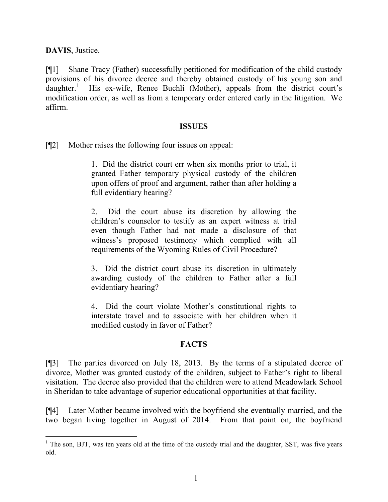**DAVIS**, Justice.

[¶1] Shane Tracy (Father) successfully petitioned for modification of the child custody provisions of his divorce decree and thereby obtained custody of his young son and  $d$ aughter.<sup>1</sup> His ex-wife, Renee Buchli (Mother), appeals from the district court's modification order, as well as from a temporary order entered early in the litigation. We affirm.

#### **ISSUES**

[¶2] Mother raises the following four issues on appeal:

1. Did the district court err when six months prior to trial, it granted Father temporary physical custody of the children upon offers of proof and argument, rather than after holding a full evidentiary hearing?

2. Did the court abuse its discretion by allowing the children's counselor to testify as an expert witness at trial even though Father had not made a disclosure of that witness's proposed testimony which complied with all requirements of the Wyoming Rules of Civil Procedure?

3. Did the district court abuse its discretion in ultimately awarding custody of the children to Father after a full evidentiary hearing?

4. Did the court violate Mother's constitutional rights to interstate travel and to associate with her children when it modified custody in favor of Father?

#### **FACTS**

[¶3] The parties divorced on July 18, 2013. By the terms of a stipulated decree of divorce, Mother was granted custody of the children, subject to Father's right to liberal visitation. The decree also provided that the children were to attend Meadowlark School in Sheridan to take advantage of superior educational opportunities at that facility.

[¶4] Later Mother became involved with the boyfriend she eventually married, and the two began living together in August of 2014. From that point on, the boyfriend

 $1$  The son, BJT, was ten years old at the time of the custody trial and the daughter, SST, was five years old.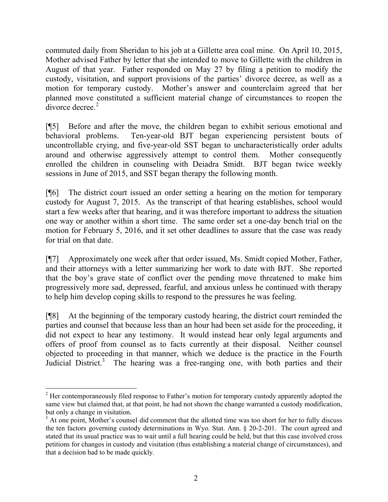commuted daily from Sheridan to his job at a Gillette area coal mine. On April 10, 2015, Mother advised Father by letter that she intended to move to Gillette with the children in August of that year. Father responded on May 27 by filing a petition to modify the custody, visitation, and support provisions of the parties' divorce decree, as well as a motion for temporary custody. Mother's answer and counterclaim agreed that her planned move constituted a sufficient material change of circumstances to reopen the  $\frac{1}{2}$  divorce decree.<sup>2</sup>

[¶5] Before and after the move, the children began to exhibit serious emotional and behavioral problems. Ten-year-old BJT began experiencing persistent bouts of uncontrollable crying, and five-year-old SST began to uncharacteristically order adults around and otherwise aggressively attempt to control them. Mother consequently enrolled the children in counseling with Deiadra Smidt. BJT began twice weekly sessions in June of 2015, and SST began therapy the following month.

[¶6] The district court issued an order setting a hearing on the motion for temporary custody for August 7, 2015. As the transcript of that hearing establishes, school would start a few weeks after that hearing, and it was therefore important to address the situation one way or another within a short time. The same order set a one-day bench trial on the motion for February 5, 2016, and it set other deadlines to assure that the case was ready for trial on that date.

[¶7] Approximately one week after that order issued, Ms. Smidt copied Mother, Father, and their attorneys with a letter summarizing her work to date with BJT. She reported that the boy's grave state of conflict over the pending move threatened to make him progressively more sad, depressed, fearful, and anxious unless he continued with therapy to help him develop coping skills to respond to the pressures he was feeling.

[¶8] At the beginning of the temporary custody hearing, the district court reminded the parties and counsel that because less than an hour had been set aside for the proceeding, it did not expect to hear any testimony. It would instead hear only legal arguments and offers of proof from counsel as to facts currently at their disposal. Neither counsel objected to proceeding in that manner, which we deduce is the practice in the Fourth Judicial District.<sup>3</sup> The hearing was a free-ranging one, with both parties and their

<sup>&</sup>lt;sup>2</sup> Her contemporaneously filed response to Father's motion for temporary custody apparently adopted the same view but claimed that, at that point, he had not shown the change warranted a custody modification, but only a change in visitation.

<sup>&</sup>lt;sup>3</sup> At one point, Mother's counsel did comment that the allotted time was too short for her to fully discuss the ten factors governing custody determinations in Wyo. Stat. Ann. § 20-2-201. The court agreed and stated that its usual practice was to wait until a full hearing could be held, but that this case involved cross petitions for changes in custody and visitation (thus establishing a material change of circumstances), and that a decision had to be made quickly.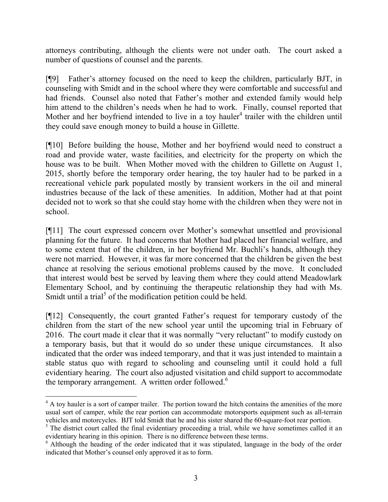attorneys contributing, although the clients were not under oath. The court asked a number of questions of counsel and the parents.

[¶9] Father's attorney focused on the need to keep the children, particularly BJT, in counseling with Smidt and in the school where they were comfortable and successful and had friends. Counsel also noted that Father's mother and extended family would help him attend to the children's needs when he had to work. Finally, counsel reported that Mother and her boyfriend intended to live in a toy hauler<sup>4</sup> trailer with the children until they could save enough money to build a house in Gillette.

[¶10] Before building the house, Mother and her boyfriend would need to construct a road and provide water, waste facilities, and electricity for the property on which the house was to be built. When Mother moved with the children to Gillette on August 1, 2015, shortly before the temporary order hearing, the toy hauler had to be parked in a recreational vehicle park populated mostly by transient workers in the oil and mineral industries because of the lack of these amenities. In addition, Mother had at that point decided not to work so that she could stay home with the children when they were not in school.

[¶11] The court expressed concern over Mother's somewhat unsettled and provisional planning for the future. It had concerns that Mother had placed her financial welfare, and to some extent that of the children, in her boyfriend Mr. Buchli's hands, although they were not married. However, it was far more concerned that the children be given the best chance at resolving the serious emotional problems caused by the move. It concluded that interest would best be served by leaving them where they could attend Meadowlark Elementary School, and by continuing the therapeutic relationship they had with Ms. Smidt until a trial<sup>5</sup> of the modification petition could be held.

[¶12] Consequently, the court granted Father's request for temporary custody of the children from the start of the new school year until the upcoming trial in February of 2016. The court made it clear that it was normally "very reluctant" to modify custody on a temporary basis, but that it would do so under these unique circumstances. It also indicated that the order was indeed temporary, and that it was just intended to maintain a stable status quo with regard to schooling and counseling until it could hold a full evidentiary hearing. The court also adjusted visitation and child support to accommodate the temporary arrangement. A written order followed.<sup>6</sup>

<sup>&</sup>lt;sup>4</sup> A toy hauler is a sort of camper trailer. The portion toward the hitch contains the amenities of the more usual sort of camper, while the rear portion can accommodate motorsports equipment such as all-terrain vehicles and motorcycles. BJT told Smidt that he and his sister shared the 60-square-foot rear portion.

<sup>&</sup>lt;sup>5</sup> The district court called the final evidentiary proceeding a trial, while we have sometimes called it an evidentiary hearing in this opinion. There is no difference between these terms.

<sup>&</sup>lt;sup>6</sup> Although the heading of the order indicated that it was stipulated, language in the body of the order indicated that Mother's counsel only approved it as to form.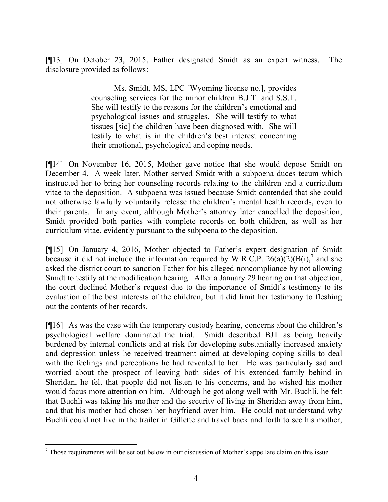[¶13] On October 23, 2015, Father designated Smidt as an expert witness. The disclosure provided as follows:

> Ms. Smidt, MS, LPC [Wyoming license no.], provides counseling services for the minor children B.J.T. and S.S.T. She will testify to the reasons for the children's emotional and psychological issues and struggles. She will testify to what tissues [sic] the children have been diagnosed with. She will testify to what is in the children's best interest concerning their emotional, psychological and coping needs.

[¶14] On November 16, 2015, Mother gave notice that she would depose Smidt on December 4. A week later, Mother served Smidt with a subpoena duces tecum which instructed her to bring her counseling records relating to the children and a curriculum vitae to the deposition. A subpoena was issued because Smidt contended that she could not otherwise lawfully voluntarily release the children's mental health records, even to their parents. In any event, although Mother's attorney later cancelled the deposition, Smidt provided both parties with complete records on both children, as well as her curriculum vitae, evidently pursuant to the subpoena to the deposition.

[¶15] On January 4, 2016, Mother objected to Father's expert designation of Smidt because it did not include the information required by W.R.C.P.  $26(a)(2)(B(i),^7$  and she asked the district court to sanction Father for his alleged noncompliance by not allowing Smidt to testify at the modification hearing. After a January 29 hearing on that objection, the court declined Mother's request due to the importance of Smidt's testimony to its evaluation of the best interests of the children, but it did limit her testimony to fleshing out the contents of her records.

[¶16] As was the case with the temporary custody hearing, concerns about the children's psychological welfare dominated the trial. Smidt described BJT as being heavily burdened by internal conflicts and at risk for developing substantially increased anxiety and depression unless he received treatment aimed at developing coping skills to deal with the feelings and perceptions he had revealed to her. He was particularly sad and worried about the prospect of leaving both sides of his extended family behind in Sheridan, he felt that people did not listen to his concerns, and he wished his mother would focus more attention on him. Although he got along well with Mr. Buchli, he felt that Buchli was taking his mother and the security of living in Sheridan away from him, and that his mother had chosen her boyfriend over him. He could not understand why Buchli could not live in the trailer in Gillette and travel back and forth to see his mother,

 $<sup>7</sup>$  Those requirements will be set out below in our discussion of Mother's appellate claim on this issue.</sup>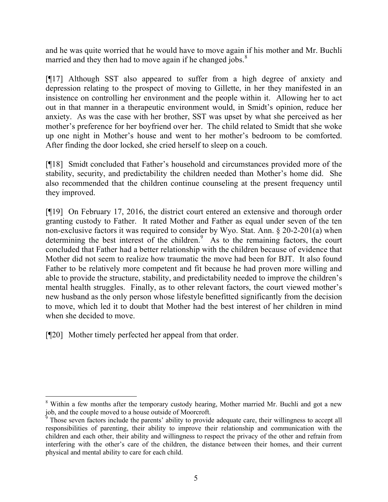and he was quite worried that he would have to move again if his mother and Mr. Buchli married and they then had to move again if he changed jobs. $8$ 

[¶17] Although SST also appeared to suffer from a high degree of anxiety and depression relating to the prospect of moving to Gillette, in her they manifested in an insistence on controlling her environment and the people within it. Allowing her to act out in that manner in a therapeutic environment would, in Smidt's opinion, reduce her anxiety. As was the case with her brother, SST was upset by what she perceived as her mother's preference for her boyfriend over her. The child related to Smidt that she woke up one night in Mother's house and went to her mother's bedroom to be comforted. After finding the door locked, she cried herself to sleep on a couch.

[¶18] Smidt concluded that Father's household and circumstances provided more of the stability, security, and predictability the children needed than Mother's home did. She also recommended that the children continue counseling at the present frequency until they improved.

[¶19] On February 17, 2016, the district court entered an extensive and thorough order granting custody to Father. It rated Mother and Father as equal under seven of the ten non-exclusive factors it was required to consider by Wyo. Stat. Ann. § 20-2-201(a) when determining the best interest of the children.<sup>9</sup> As to the remaining factors, the court concluded that Father had a better relationship with the children because of evidence that Mother did not seem to realize how traumatic the move had been for BJT. It also found Father to be relatively more competent and fit because he had proven more willing and able to provide the structure, stability, and predictability needed to improve the children's mental health struggles. Finally, as to other relevant factors, the court viewed mother's new husband as the only person whose lifestyle benefitted significantly from the decision to move, which led it to doubt that Mother had the best interest of her children in mind when she decided to move.

[¶20] Mother timely perfected her appeal from that order.

l <sup>8</sup> Within a few months after the temporary custody hearing, Mother married Mr. Buchli and got a new job, and the couple moved to a house outside of Moorcroft.

<sup>&</sup>lt;sup>9</sup> Those seven factors include the parents' ability to provide adequate care, their willingness to accept all responsibilities of parenting, their ability to improve their relationship and communication with the children and each other, their ability and willingness to respect the privacy of the other and refrain from interfering with the other's care of the children, the distance between their homes, and their current physical and mental ability to care for each child.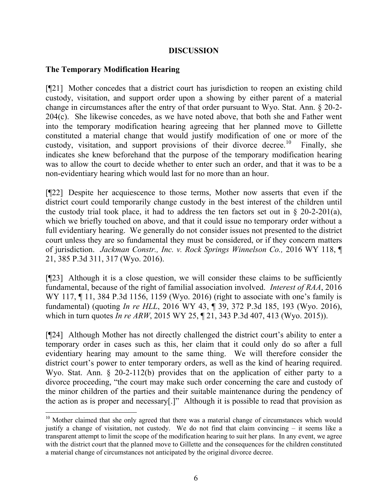### **DISCUSSION**

### **The Temporary Modification Hearing**

 $\overline{a}$ 

[¶21] Mother concedes that a district court has jurisdiction to reopen an existing child custody, visitation, and support order upon a showing by either parent of a material change in circumstances after the entry of that order pursuant to Wyo. Stat. Ann. § 20-2- 204(c). She likewise concedes, as we have noted above, that both she and Father went into the temporary modification hearing agreeing that her planned move to Gillette constituted a material change that would justify modification of one or more of the custody, visitation, and support provisions of their divorce decree.<sup>10</sup> Finally, she indicates she knew beforehand that the purpose of the temporary modification hearing was to allow the court to decide whether to enter such an order, and that it was to be a non-evidentiary hearing which would last for no more than an hour.

[¶22] Despite her acquiescence to those terms, Mother now asserts that even if the district court could temporarily change custody in the best interest of the children until the custody trial took place, it had to address the ten factors set out in  $\S$  20-2-201(a), which we briefly touched on above, and that it could issue no temporary order without a full evidentiary hearing. We generally do not consider issues not presented to the district court unless they are so fundamental they must be considered, or if they concern matters of jurisdiction. *Jackman Constr., Inc. v. Rock Springs Winnelson Co.,* 2016 WY 118, ¶ 21, 385 P.3d 311, 317 (Wyo. 2016).

[¶23] Although it is a close question, we will consider these claims to be sufficiently fundamental, because of the right of familial association involved. *Interest of RAA*, 2016 WY 117, 11, 384 P.3d 1156, 1159 (Wyo. 2016) (right to associate with one's family is fundamental) (quoting *In re HLL*, 2016 WY 43, ¶ 39, 372 P.3d 185, 193 (Wyo. 2016), which in turn quotes *In re ARW*, 2015 WY 25, ¶ 21, 343 P.3d 407, 413 (Wyo. 2015)).

[¶24] Although Mother has not directly challenged the district court's ability to enter a temporary order in cases such as this, her claim that it could only do so after a full evidentiary hearing may amount to the same thing. We will therefore consider the district court's power to enter temporary orders, as well as the kind of hearing required. Wyo. Stat. Ann. § 20-2-112(b) provides that on the application of either party to a divorce proceeding, "the court may make such order concerning the care and custody of the minor children of the parties and their suitable maintenance during the pendency of the action as is proper and necessary[.]" Although it is possible to read that provision as

<sup>&</sup>lt;sup>10</sup> Mother claimed that she only agreed that there was a material change of circumstances which would justify a change of visitation, not custody. We do not find that claim convincing – it seems like a transparent attempt to limit the scope of the modification hearing to suit her plans. In any event, we agree with the district court that the planned move to Gillette and the consequences for the children constituted a material change of circumstances not anticipated by the original divorce decree.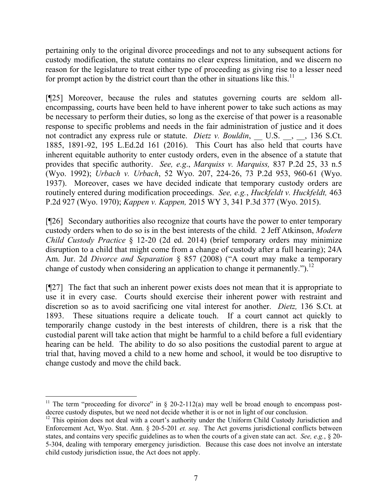pertaining only to the original divorce proceedings and not to any subsequent actions for custody modification, the statute contains no clear express limitation, and we discern no reason for the legislature to treat either type of proceeding as giving rise to a lesser need for prompt action by the district court than the other in situations like this. $^{11}$ 

[¶25] Moreover, because the rules and statutes governing courts are seldom allencompassing, courts have been held to have inherent power to take such actions as may be necessary to perform their duties, so long as the exercise of that power is a reasonable response to specific problems and needs in the fair administration of justice and it does not contradict any express rule or statute. *Dietz v. Bouldin*, \_\_ U.S. \_\_, \_\_, 136 S.Ct. 1885, 1891-92, 195 L.Ed.2d 161 (2016). This Court has also held that courts have inherent equitable authority to enter custody orders, even in the absence of a statute that provides that specific authority. *See, e.g*., *Marquiss v. Marquiss,* 837 P.2d 25, 33 n.5 (Wyo. 1992); *Urbach v. Urbach*, 52 Wyo. 207, 224-26, 73 P.2d 953, 960-61 (Wyo. 1937). Moreover, cases we have decided indicate that temporary custody orders are routinely entered during modification proceedings. *See, e.g.*, *Huckfeldt v. Huckfeldt,* 463 P.2d 927 (Wyo. 1970); *Kappen v. Kappen,* 2015 WY 3, 341 P.3d 377 (Wyo. 2015).

[¶26] Secondary authorities also recognize that courts have the power to enter temporary custody orders when to do so is in the best interests of the child. 2 Jeff Atkinson, *Modern Child Custody Practice* § 12-20 (2d ed. 2014) (brief temporary orders may minimize disruption to a child that might come from a change of custody after a full hearing); 24A Am. Jur. 2d *Divorce and Separation* § 857 (2008) ("A court may make a temporary change of custody when considering an application to change it permanently.").<sup>12</sup>

[¶27] The fact that such an inherent power exists does not mean that it is appropriate to use it in every case. Courts should exercise their inherent power with restraint and discretion so as to avoid sacrificing one vital interest for another. *Dietz,* 136 S.Ct. at 1893. These situations require a delicate touch. If a court cannot act quickly to temporarily change custody in the best interests of children, there is a risk that the custodial parent will take action that might be harmful to a child before a full evidentiary hearing can be held. The ability to do so also positions the custodial parent to argue at trial that, having moved a child to a new home and school, it would be too disruptive to change custody and move the child back.

<sup>&</sup>lt;sup>11</sup> The term "proceeding for divorce" in  $\S$  20-2-112(a) may well be broad enough to encompass postdecree custody disputes, but we need not decide whether it is or not in light of our conclusion.

<sup>&</sup>lt;sup>12</sup> This opinion does not deal with a court's authority under the Uniform Child Custody Jurisdiction and Enforcement Act, Wyo. Stat. Ann. § 20-5-201 *et. seq*. The Act governs jurisdictional conflicts between states, and contains very specific guidelines as to when the courts of a given state can act. *See, e.g.*, § 20- 5-304, dealing with temporary emergency jurisdiction. Because this case does not involve an interstate child custody jurisdiction issue, the Act does not apply.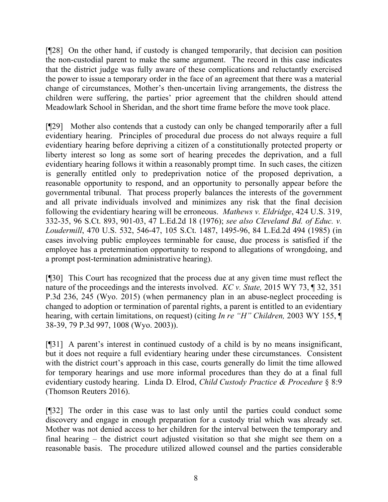[¶28] On the other hand, if custody is changed temporarily, that decision can position the non-custodial parent to make the same argument. The record in this case indicates that the district judge was fully aware of these complications and reluctantly exercised the power to issue a temporary order in the face of an agreement that there was a material change of circumstances, Mother's then-uncertain living arrangements, the distress the children were suffering, the parties' prior agreement that the children should attend Meadowlark School in Sheridan, and the short time frame before the move took place.

[¶29] Mother also contends that a custody can only be changed temporarily after a full evidentiary hearing. Principles of procedural due process do not always require a full evidentiary hearing before depriving a citizen of a constitutionally protected property or liberty interest so long as some sort of hearing precedes the deprivation, and a full evidentiary hearing follows it within a reasonably prompt time. In such cases, the citizen is generally entitled only to predeprivation notice of the proposed deprivation, a reasonable opportunity to respond, and an opportunity to personally appear before the governmental tribunal. That process properly balances the interests of the government and all private individuals involved and minimizes any risk that the final decision following the evidentiary hearing will be erroneous. *Mathews v. Eldridge*, 424 U.S. 319, 332-35, 96 S.Ct. 893, 901-03, 47 L.Ed.2d 18 (1976); *see also Cleveland Bd. of Educ. v. Loudermill*, 470 U.S. 532, 546-47, 105 S.Ct. 1487, 1495-96, 84 L.Ed.2d 494 (1985) (in cases involving public employees terminable for cause, due process is satisfied if the employee has a pretermination opportunity to respond to allegations of wrongdoing, and a prompt post-termination administrative hearing).

[¶30] This Court has recognized that the process due at any given time must reflect the nature of the proceedings and the interests involved. *KC v. State,* 2015 WY 73, ¶ 32, 351 P.3d 236, 245 (Wyo. 2015) (when permanency plan in an abuse-neglect proceeding is changed to adoption or termination of parental rights, a parent is entitled to an evidentiary hearing, with certain limitations, on request) (citing *In re "H" Children,* 2003 WY 155, ¶ 38-39, 79 P.3d 997, 1008 (Wyo. 2003)).

[¶31] A parent's interest in continued custody of a child is by no means insignificant, but it does not require a full evidentiary hearing under these circumstances. Consistent with the district court's approach in this case, courts generally do limit the time allowed for temporary hearings and use more informal procedures than they do at a final full evidentiary custody hearing. Linda D. Elrod, *Child Custody Practice & Procedure* § 8:9 (Thomson Reuters 2016).

[¶32] The order in this case was to last only until the parties could conduct some discovery and engage in enough preparation for a custody trial which was already set. Mother was not denied access to her children for the interval between the temporary and final hearing – the district court adjusted visitation so that she might see them on a reasonable basis. The procedure utilized allowed counsel and the parties considerable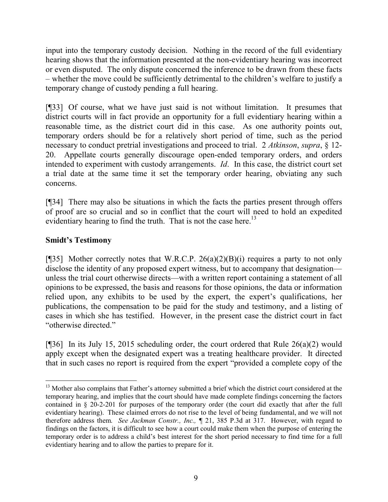input into the temporary custody decision. Nothing in the record of the full evidentiary hearing shows that the information presented at the non-evidentiary hearing was incorrect or even disputed. The only dispute concerned the inference to be drawn from these facts – whether the move could be sufficiently detrimental to the children's welfare to justify a temporary change of custody pending a full hearing.

[¶33] Of course, what we have just said is not without limitation. It presumes that district courts will in fact provide an opportunity for a full evidentiary hearing within a reasonable time, as the district court did in this case. As one authority points out, temporary orders should be for a relatively short period of time, such as the period necessary to conduct pretrial investigations and proceed to trial. 2 *Atkinson*, *supra*, § 12- 20. Appellate courts generally discourage open-ended temporary orders, and orders intended to experiment with custody arrangements. *Id*. In this case, the district court set a trial date at the same time it set the temporary order hearing, obviating any such concerns.

[¶34] There may also be situations in which the facts the parties present through offers of proof are so crucial and so in conflict that the court will need to hold an expedited evidentiary hearing to find the truth. That is not the case here.<sup>13</sup>

# **Smidt's Testimony**

l

[¶35] Mother correctly notes that W.R.C.P.  $26(a)(2)(B)(i)$  requires a party to not only disclose the identity of any proposed expert witness, but to accompany that designation unless the trial court otherwise directs—with a written report containing a statement of all opinions to be expressed, the basis and reasons for those opinions, the data or information relied upon, any exhibits to be used by the expert, the expert's qualifications, her publications, the compensation to be paid for the study and testimony, and a listing of cases in which she has testified. However, in the present case the district court in fact "otherwise directed."

[ $[$ ]36] In its July 15, 2015 scheduling order, the court ordered that Rule 26(a)(2) would apply except when the designated expert was a treating healthcare provider. It directed that in such cases no report is required from the expert "provided a complete copy of the

<sup>&</sup>lt;sup>13</sup> Mother also complains that Father's attorney submitted a brief which the district court considered at the temporary hearing, and implies that the court should have made complete findings concerning the factors contained in § 20-2-201 for purposes of the temporary order (the court did exactly that after the full evidentiary hearing). These claimed errors do not rise to the level of being fundamental, and we will not therefore address them. *See Jackman Constr., Inc., ¶* 21, 385 P.3d at 317.However, with regard to findings on the factors, it is difficult to see how a court could make them when the purpose of entering the temporary order is to address a child's best interest for the short period necessary to find time for a full evidentiary hearing and to allow the parties to prepare for it.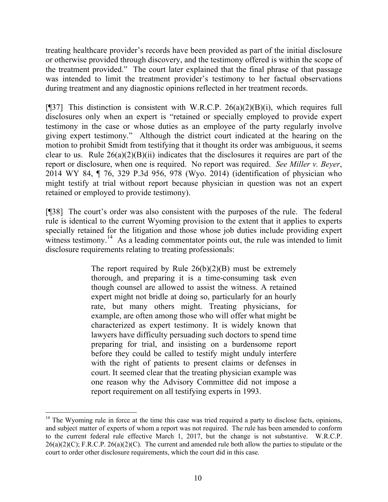treating healthcare provider's records have been provided as part of the initial disclosure or otherwise provided through discovery, and the testimony offered is within the scope of the treatment provided." The court later explained that the final phrase of that passage was intended to limit the treatment provider's testimony to her factual observations during treatment and any diagnostic opinions reflected in her treatment records.

[ $[$ ]37] This distinction is consistent with W.R.C.P. 26(a)(2)(B)(i), which requires full disclosures only when an expert is "retained or specially employed to provide expert testimony in the case or whose duties as an employee of the party regularly involve giving expert testimony." Although the district court indicated at the hearing on the motion to prohibit Smidt from testifying that it thought its order was ambiguous, it seems clear to us. Rule  $26(a)(2)(B)(ii)$  indicates that the disclosures it requires are part of the report or disclosure, when one is required. No report was required. *See Miller v. Beyer*, 2014 WY 84, ¶ 76, 329 P.3d 956, 978 (Wyo. 2014) (identification of physician who might testify at trial without report because physician in question was not an expert retained or employed to provide testimony).

[¶38] The court's order was also consistent with the purposes of the rule. The federal rule is identical to the current Wyoming provision to the extent that it applies to experts specially retained for the litigation and those whose job duties include providing expert witness testimony.<sup>14</sup> As a leading commentator points out, the rule was intended to limit disclosure requirements relating to treating professionals:

> The report required by Rule  $26(b)(2)(B)$  must be extremely thorough, and preparing it is a time-consuming task even though counsel are allowed to assist the witness. A retained expert might not bridle at doing so, particularly for an hourly rate, but many others might. Treating physicians, for example, are often among those who will offer what might be characterized as expert testimony. It is widely known that lawyers have difficulty persuading such doctors to spend time preparing for trial, and insisting on a burdensome report before they could be called to testify might unduly interfere with the right of patients to present claims or defenses in court. It seemed clear that the treating physician example was one reason why the Advisory Committee did not impose a report requirement on all testifying experts in 1993.

 $\overline{a}$ 

<sup>&</sup>lt;sup>14</sup> The Wyoming rule in force at the time this case was tried required a party to disclose facts, opinions, and subject matter of experts of whom a report was not required. The rule has been amended to conform to the current federal rule effective March 1, 2017, but the change is not substantive. W.R.C.P.  $26(a)(2)(C)$ ; F.R.C.P.  $26(a)(2)(C)$ . The current and amended rule both allow the parties to stipulate or the court to order other disclosure requirements, which the court did in this case.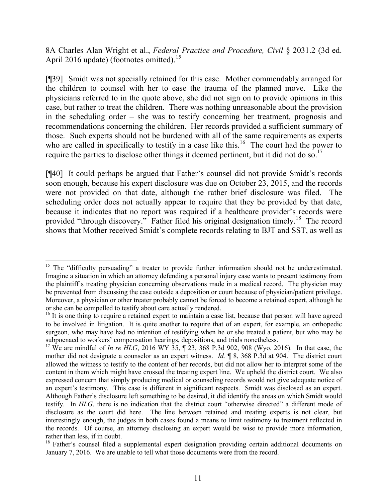8A Charles Alan Wright et al., *Federal Practice and Procedure, Civil* § 2031.2 (3d ed. April 2016 update) (footnotes omitted).<sup>15</sup>

[¶39] Smidt was not specially retained for this case. Mother commendably arranged for the children to counsel with her to ease the trauma of the planned move. Like the physicians referred to in the quote above, she did not sign on to provide opinions in this case, but rather to treat the children. There was nothing unreasonable about the provision in the scheduling order – she was to testify concerning her treatment, prognosis and recommendations concerning the children. Her records provided a sufficient summary of those. Such experts should not be burdened with all of the same requirements as experts who are called in specifically to testify in a case like this.<sup>16</sup> The court had the power to require the parties to disclose other things it deemed pertinent, but it did not do so.<sup>17</sup>

[¶40] It could perhaps be argued that Father's counsel did not provide Smidt's records soon enough, because his expert disclosure was due on October 23, 2015, and the records were not provided on that date, although the rather brief disclosure was filed. The scheduling order does not actually appear to require that they be provided by that date, because it indicates that no report was required if a healthcare provider's records were provided "through discovery." Father filed his original designation timely.<sup>18</sup> The record shows that Mother received Smidt's complete records relating to BJT and SST, as well as

<sup>&</sup>lt;sup>15</sup> The "difficulty persuading" a treater to provide further information should not be underestimated. Imagine a situation in which an attorney defending a personal injury case wants to present testimony from the plaintiff's treating physician concerning observations made in a medical record. The physician may be prevented from discussing the case outside a deposition or court because of physician/patient privilege. Moreover, a physician or other treater probably cannot be forced to become a retained expert, although he or she can be compelled to testify about care actually rendered.

<sup>&</sup>lt;sup>16</sup> It is one thing to require a retained expert to maintain a case list, because that person will have agreed to be involved in litigation. It is quite another to require that of an expert, for example, an orthopedic surgeon, who may have had no intention of testifying when he or she treated a patient, but who may be subpoenaed to workers' compensation hearings, depositions, and trials nonetheless.

<sup>&</sup>lt;sup>17</sup> We are mindful of *In re HLG*, 2016 WY 35, 1 23, 368 P.3d 902, 908 (Wyo. 2016). In that case, the mother did not designate a counselor as an expert witness. *Id.* ¶ 8, 368 P.3d at 904. The district court allowed the witness to testify to the content of her records, but did not allow her to interpret some of the content in them which might have crossed the treating expert line. We upheld the district court. We also expressed concern that simply producing medical or counseling records would not give adequate notice of an expert's testimony. This case is different in significant respects. Smidt was disclosed as an expert. Although Father's disclosure left something to be desired, it did identify the areas on which Smidt would testify. In *HLG*, there is no indication that the district court "otherwise directed" a different mode of disclosure as the court did here. The line between retained and treating experts is not clear, but interestingly enough, the judges in both cases found a means to limit testimony to treatment reflected in the records. Of course, an attorney disclosing an expert would be wise to provide more information, rather than less, if in doubt.

<sup>&</sup>lt;sup>18</sup> Father's counsel filed a supplemental expert designation providing certain additional documents on January 7, 2016. We are unable to tell what those documents were from the record.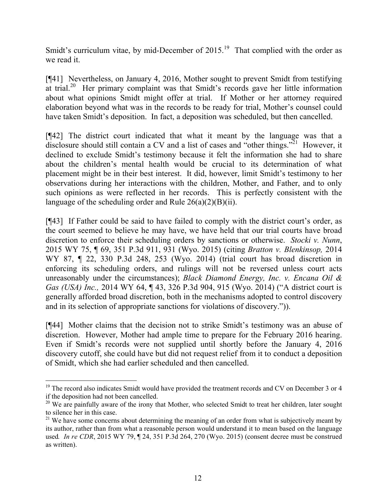Smidt's curriculum vitae, by mid-December of  $2015$ .<sup>19</sup> That complied with the order as we read it.

[¶41] Nevertheless, on January 4, 2016, Mother sought to prevent Smidt from testifying at trial.<sup>20</sup> Her primary complaint was that Smidt's records gave her little information about what opinions Smidt might offer at trial. If Mother or her attorney required elaboration beyond what was in the records to be ready for trial, Mother's counsel could have taken Smidt's deposition. In fact, a deposition was scheduled, but then cancelled.

[¶42] The district court indicated that what it meant by the language was that a disclosure should still contain a CV and a list of cases and "other things."<sup>21</sup> However, it declined to exclude Smidt's testimony because it felt the information she had to share about the children's mental health would be crucial to its determination of what placement might be in their best interest. It did, however, limit Smidt's testimony to her observations during her interactions with the children, Mother, and Father, and to only such opinions as were reflected in her records. This is perfectly consistent with the language of the scheduling order and Rule  $26(a)(2)(B)(ii)$ .

[¶43] If Father could be said to have failed to comply with the district court's order, as the court seemed to believe he may have, we have held that our trial courts have broad discretion to enforce their scheduling orders by sanctions or otherwise. *Stocki v. Nunn*, 2015 WY 75, ¶ 69, 351 P.3d 911, 931 (Wyo. 2015) (citing *Bratton v. Blenkinsop,* 2014 WY 87, ¶ 22, 330 P.3d 248, 253 (Wyo. 2014) (trial court has broad discretion in enforcing its scheduling orders, and rulings will not be reversed unless court acts unreasonably under the circumstances); *Black Diamond Energy, Inc. v. Encana Oil & Gas (USA) Inc.,* 2014 WY 64, ¶ 43, 326 P.3d 904, 915 (Wyo. 2014) ("A district court is generally afforded broad discretion, both in the mechanisms adopted to control discovery and in its selection of appropriate sanctions for violations of discovery.")).

[¶44] Mother claims that the decision not to strike Smidt's testimony was an abuse of discretion. However, Mother had ample time to prepare for the February 2016 hearing. Even if Smidt's records were not supplied until shortly before the January 4, 2016 discovery cutoff, she could have but did not request relief from it to conduct a deposition of Smidt, which she had earlier scheduled and then cancelled.

<sup>&</sup>lt;sup>19</sup> The record also indicates Smidt would have provided the treatment records and CV on December 3 or 4 if the deposition had not been cancelled.

<sup>&</sup>lt;sup>20</sup> We are painfully aware of the irony that Mother, who selected Smidt to treat her children, later sought to silence her in this case.

<sup>&</sup>lt;sup>21</sup> We have some concerns about determining the meaning of an order from what is subjectively meant by its author, rather than from what a reasonable person would understand it to mean based on the language used*. In re CDR*, 2015 WY 79, ¶ 24, 351 P.3d 264, 270 (Wyo. 2015) (consent decree must be construed as written).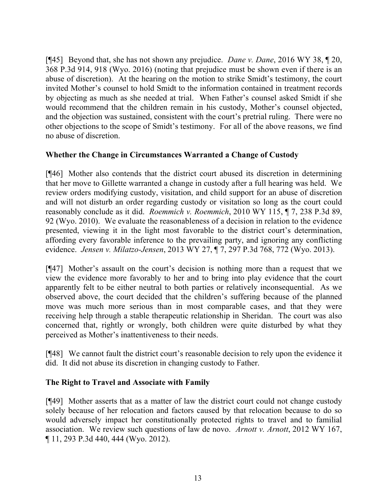[¶45] Beyond that, she has not shown any prejudice. *Dane v. Dane*, 2016 WY 38, ¶ 20, 368 P.3d 914, 918 (Wyo. 2016) (noting that prejudice must be shown even if there is an abuse of discretion). At the hearing on the motion to strike Smidt's testimony, the court invited Mother's counsel to hold Smidt to the information contained in treatment records by objecting as much as she needed at trial. When Father's counsel asked Smidt if she would recommend that the children remain in his custody, Mother's counsel objected, and the objection was sustained, consistent with the court's pretrial ruling. There were no other objections to the scope of Smidt's testimony. For all of the above reasons, we find no abuse of discretion.

# **Whether the Change in Circumstances Warranted a Change of Custody**

[¶46] Mother also contends that the district court abused its discretion in determining that her move to Gillette warranted a change in custody after a full hearing was held. We review orders modifying custody, visitation, and child support for an abuse of discretion and will not disturb an order regarding custody or visitation so long as the court could reasonably conclude as it did. *Roemmich v. Roemmich*, 2010 WY 115, ¶ 7, 238 P.3d 89, 92 (Wyo. 2010). We evaluate the reasonableness of a decision in relation to the evidence presented, viewing it in the light most favorable to the district court's determination, affording every favorable inference to the prevailing party, and ignoring any conflicting evidence. *Jensen v. Milatzo-Jensen*, 2013 WY 27, ¶ 7, 297 P.3d 768, 772 (Wyo. 2013).

[¶47] Mother's assault on the court's decision is nothing more than a request that we view the evidence more favorably to her and to bring into play evidence that the court apparently felt to be either neutral to both parties or relatively inconsequential. As we observed above, the court decided that the children's suffering because of the planned move was much more serious than in most comparable cases, and that they were receiving help through a stable therapeutic relationship in Sheridan. The court was also concerned that, rightly or wrongly, both children were quite disturbed by what they perceived as Mother's inattentiveness to their needs.

[¶48] We cannot fault the district court's reasonable decision to rely upon the evidence it did. It did not abuse its discretion in changing custody to Father.

# **The Right to Travel and Associate with Family**

[¶49] Mother asserts that as a matter of law the district court could not change custody solely because of her relocation and factors caused by that relocation because to do so would adversely impact her constitutionally protected rights to travel and to familial association. We review such questions of law de novo. *Arnott v. Arnott*, 2012 WY 167, ¶ 11, 293 P.3d 440, 444 (Wyo. 2012).